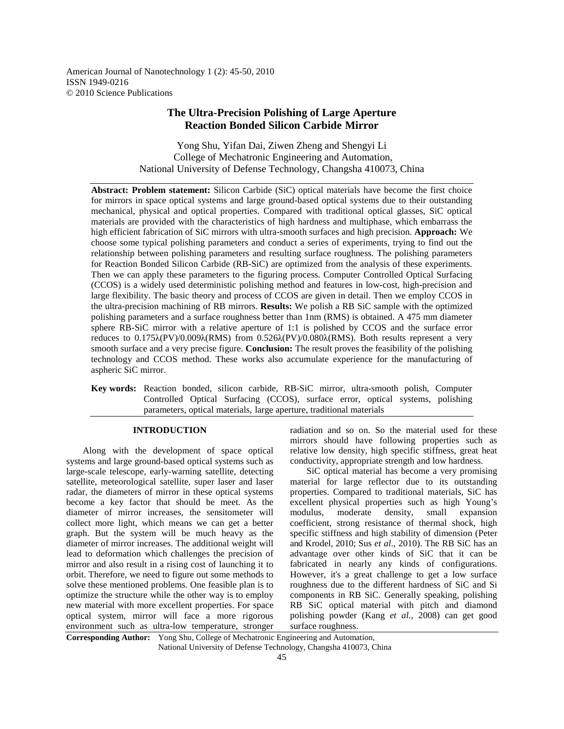American Journal of Nanotechnology 1 (2): 45-50, 2010 ISSN 1949-0216 © 2010 Science Publications

# **The Ultra-Precision Polishing of Large Aperture Reaction Bonded Silicon Carbide Mirror**

Yong Shu, Yifan Dai, Ziwen Zheng and Shengyi Li College of Mechatronic Engineering and Automation, National University of Defense Technology, Changsha 410073, China

**Abstract: Problem statement:** Silicon Carbide (SiC) optical materials have become the first choice for mirrors in space optical systems and large ground-based optical systems due to their outstanding mechanical, physical and optical properties. Compared with traditional optical glasses, SiC optical materials are provided with the characteristics of high hardness and multiphase, which embarrass the high efficient fabrication of SiC mirrors with ultra-smooth surfaces and high precision. **Approach:** We choose some typical polishing parameters and conduct a series of experiments, trying to find out the relationship between polishing parameters and resulting surface roughness. The polishing parameters for Reaction Bonded Silicon Carbide (RB-SiC) are optimized from the analysis of these experiments. Then we can apply these parameters to the figuring process. Computer Controlled Optical Surfacing (CCOS) is a widely used deterministic polishing method and features in low-cost, high-precision and large flexibility. The basic theory and process of CCOS are given in detail. Then we employ CCOS in the ultra-precision machining of RB mirrors. **Results:** We polish a RB SiC sample with the optimized polishing parameters and a surface roughness better than 1nm (RMS) is obtained. A 475 mm diameter sphere RB-SiC mirror with a relative aperture of 1:1 is polished by CCOS and the surface error reduces to 0.175λ(PV)/0.009λ(RMS) from 0.526λ(PV)/0.080λ(RMS). Both results represent a very smooth surface and a very precise figure. **Conclusion:** The result proves the feasibility of the polishing technology and CCOS method. These works also accumulate experience for the manufacturing of aspheric SiC mirror.

**Key words:** Reaction bonded, silicon carbide, RB-SiC mirror, ultra-smooth polish, Computer Controlled Optical Surfacing (CCOS), surface error, optical systems, polishing parameters, optical materials, large aperture, traditional materials

## **INTRODUCTION**

 Along with the development of space optical systems and large ground-based optical systems such as large-scale telescope, early-warning satellite, detecting satellite, meteorological satellite, super laser and laser radar, the diameters of mirror in these optical systems become a key factor that should be meet. As the diameter of mirror increases, the sensitometer will collect more light, which means we can get a better graph. But the system will be much heavy as the diameter of mirror increases. The additional weight will lead to deformation which challenges the precision of mirror and also result in a rising cost of launching it to orbit. Therefore, we need to figure out some methods to solve these mentioned problems. One feasible plan is to optimize the structure while the other way is to employ new material with more excellent properties. For space optical system, mirror will face a more rigorous environment such as ultra-low temperature, stronger

radiation and so on. So the material used for these mirrors should have following properties such as relative low density, high specific stiffness, great heat conductivity, appropriate strength and low hardness.

 SiC optical material has become a very promising material for large reflector due to its outstanding properties. Compared to traditional materials, SiC has excellent physical properties such as high Young's modulus, moderate density, small expansion coefficient, strong resistance of thermal shock, high specific stiffness and high stability of dimension (Peter and Krodel, 2010; Sus *et al*., 2010). The RB SiC has an advantage over other kinds of SiC that it can be fabricated in nearly any kinds of configurations. However, it's a great challenge to get a low surface roughness due to the different hardness of SiC and Si components in RB SiC. Generally speaking, polishing RB SiC optical material with pitch and diamond polishing powder (Kang *et al*., 2008) can get good surface roughness.

**Corresponding Author:** Yong Shu, College of Mechatronic Engineering and Automation, National University of Defense Technology, Changsha 410073, China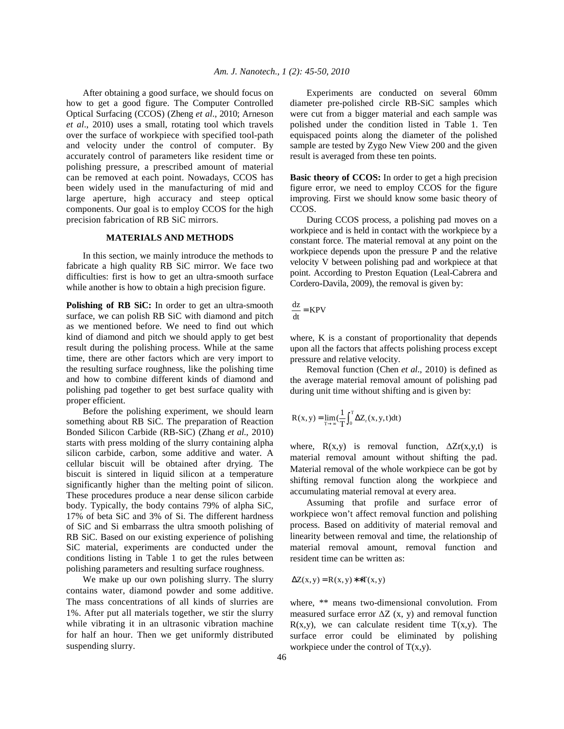After obtaining a good surface, we should focus on how to get a good figure. The Computer Controlled Optical Surfacing (CCOS) (Zheng *et al*., 2010; Arneson *et al*., 2010) uses a small, rotating tool which travels over the surface of workpiece with specified tool-path and velocity under the control of computer. By accurately control of parameters like resident time or polishing pressure, a prescribed amount of material can be removed at each point. Nowadays, CCOS has been widely used in the manufacturing of mid and large aperture, high accuracy and steep optical components. Our goal is to employ CCOS for the high precision fabrication of RB SiC mirrors.

### **MATERIALS AND METHODS**

 In this section, we mainly introduce the methods to fabricate a high quality RB SiC mirror. We face two difficulties: first is how to get an ultra-smooth surface while another is how to obtain a high precision figure.

**Polishing of RB SiC:** In order to get an ultra-smooth surface, we can polish RB SiC with diamond and pitch as we mentioned before. We need to find out which kind of diamond and pitch we should apply to get best result during the polishing process. While at the same time, there are other factors which are very import to the resulting surface roughness, like the polishing time and how to combine different kinds of diamond and polishing pad together to get best surface quality with proper efficient.

 Before the polishing experiment, we should learn something about RB SiC. The preparation of Reaction Bonded Silicon Carbide (RB-SiC) (Zhang *et al*., 2010) starts with press molding of the slurry containing alpha silicon carbide, carbon, some additive and water. A cellular biscuit will be obtained after drying. The biscuit is sintered in liquid silicon at a temperature significantly higher than the melting point of silicon. These procedures produce a near dense silicon carbide body. Typically, the body contains 79% of alpha SiC, 17% of beta SiC and 3% of Si. The different hardness of SiC and Si embarrass the ultra smooth polishing of RB SiC. Based on our existing experience of polishing SiC material, experiments are conducted under the conditions listing in Table 1 to get the rules between polishing parameters and resulting surface roughness.

 We make up our own polishing slurry. The slurry contains water, diamond powder and some additive. The mass concentrations of all kinds of slurries are 1%. After put all materials together, we stir the slurry while vibrating it in an ultrasonic vibration machine for half an hour. Then we get uniformly distributed suspending slurry.

 Experiments are conducted on several 60mm diameter pre-polished circle RB-SiC samples which were cut from a bigger material and each sample was polished under the condition listed in Table 1. Ten equispaced points along the diameter of the polished sample are tested by Zygo New View 200 and the given result is averaged from these ten points.

**Basic theory of CCOS:** In order to get a high precision figure error, we need to employ CCOS for the figure improving. First we should know some basic theory of CCOS.

 During CCOS process, a polishing pad moves on a workpiece and is held in contact with the workpiece by a constant force. The material removal at any point on the workpiece depends upon the pressure P and the relative velocity V between polishing pad and workpiece at that point. According to Preston Equation (Leal-Cabrera and Cordero-Davila, 2009), the removal is given by:

$$
\frac{dz}{dt} = KPV
$$

where, K is a constant of proportionality that depends upon all the factors that affects polishing process except pressure and relative velocity.

 Removal function (Chen *et al*., 2010) is defined as the average material removal amount of polishing pad during unit time without shifting and is given by:

$$
R(x, y) = \lim_{T \to \infty} (\frac{1}{T} \int_0^T \Delta Z_r(x, y, t) dt)
$$

where,  $R(x,y)$  is removal function,  $\Delta Zr(x,y,t)$  is material removal amount without shifting the pad. Material removal of the whole workpiece can be got by shifting removal function along the workpiece and accumulating material removal at every area.

 Assuming that profile and surface error of workpiece won't affect removal function and polishing process. Based on additivity of material removal and linearity between removal and time, the relationship of material removal amount, removal function and resident time can be written as:

$$
\Delta Z(x, y) = R(x, y) * *T(x, y)
$$

where, \*\* means two-dimensional convolution. From measured surface error  $\Delta Z$  (x, y) and removal function  $R(x,y)$ , we can calculate resident time  $T(x,y)$ . The surface error could be eliminated by polishing workpiece under the control of  $T(x,y)$ .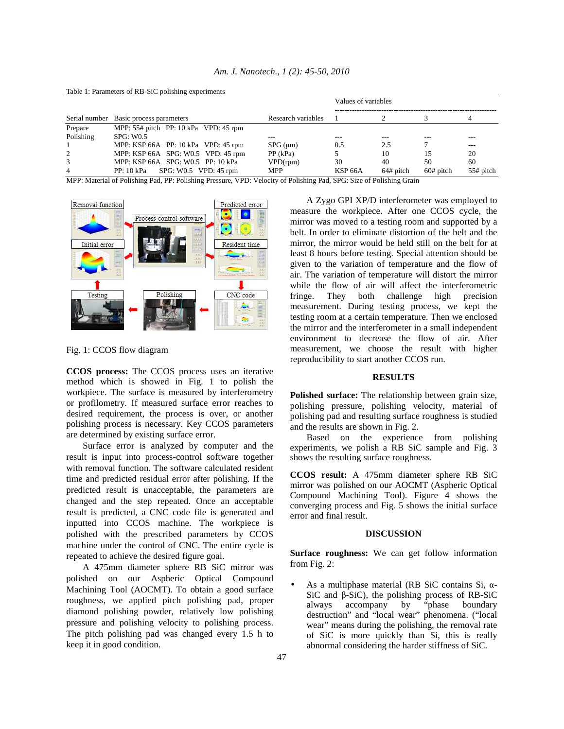|  | Am. J. Nanotech., 1 (2): 45-50, 2010 |  |  |  |
|--|--------------------------------------|--|--|--|
|--|--------------------------------------|--|--|--|

Table 1: Parameters of RB-SiC polishing experiments

|                                                |                                                                                                         |                            | Values of variables                           |                                                        |           |           |
|------------------------------------------------|---------------------------------------------------------------------------------------------------------|----------------------------|-----------------------------------------------|--------------------------------------------------------|-----------|-----------|
|                                                | Serial number Basic process parameters                                                                  | Research variables         |                                               |                                                        |           | 4         |
| Prepare                                        | MPP: $55#$ pitch PP: 10 kPa VPD: 45 rpm                                                                 |                            |                                               |                                                        |           |           |
| Polishing                                      | SPG: W0.5                                                                                               |                            |                                               |                                                        |           |           |
|                                                | MPP: KSP 66A PP: 10 kPa VPD: 45 rpm                                                                     | $SPG$ ( $\mu$ m)           | 0.5                                           | 2.5                                                    |           | ---       |
| 2                                              | MPP: KSP 66A SPG: W0.5 VPD: 45 rpm                                                                      | PP (kPa)                   |                                               | 10                                                     | 15        | 20        |
|                                                | MPP: KSP 66A SPG: W0.5 PP: 10 kPa                                                                       | VPD(rpm)                   | 30                                            | 40                                                     | 50        | 60        |
| 4<br>$\sim$ $\sim$ $\sim$ $\sim$ $\sim$ $\sim$ | $SPG: W0.5$ VPD: 45 rpm<br>PP: 10 kPa<br>$\mathbf{r}$ and $\mathbf{r}$ are the contract of $\mathbf{r}$ | <b>MPP</b><br>$\mathbf{v}$ | KSP <sub>66A</sub><br>$P_1$ $P_2$ $P_3$ $P_4$ | 64# pitch<br>$\sim$ $\sim$ $\sim$ $\sim$ $\sim$ $\sim$ | 60# pitch | 55# pitch |

MPP: Material of Polishing Pad, PP: Polishing Pressure, VPD: Velocity of Polishing Pad, SPG: Size of Polishing Grain



Fig. 1: CCOS flow diagram

**CCOS process:** The CCOS process uses an iterative method which is showed in Fig. 1 to polish the workpiece. The surface is measured by interferometry or profilometry. If measured surface error reaches to desired requirement, the process is over, or another polishing process is necessary. Key CCOS parameters are determined by existing surface error.

 Surface error is analyzed by computer and the result is input into process-control software together with removal function. The software calculated resident time and predicted residual error after polishing. If the predicted result is unacceptable, the parameters are changed and the step repeated. Once an acceptable result is predicted, a CNC code file is generated and inputted into CCOS machine. The workpiece is polished with the prescribed parameters by CCOS machine under the control of CNC. The entire cycle is repeated to achieve the desired figure goal.

 A 475mm diameter sphere RB SiC mirror was polished on our Aspheric Optical Compound Machining Tool (AOCMT). To obtain a good surface roughness, we applied pitch polishing pad, proper diamond polishing powder, relatively low polishing pressure and polishing velocity to polishing process. The pitch polishing pad was changed every 1.5 h to keep it in good condition.

 A Zygo GPI XP/D interferometer was employed to measure the workpiece. After one CCOS cycle, the mirror was moved to a testing room and supported by a belt. In order to eliminate distortion of the belt and the mirror, the mirror would be held still on the belt for at least 8 hours before testing. Special attention should be given to the variation of temperature and the flow of air. The variation of temperature will distort the mirror while the flow of air will affect the interferometric fringe. They both challenge high precision measurement. During testing process, we kept the testing room at a certain temperature. Then we enclosed the mirror and the interferometer in a small independent environment to decrease the flow of air. After measurement, we choose the result with higher reproducibility to start another CCOS run.

#### **RESULTS**

**Polished surface:** The relationship between grain size, polishing pressure, polishing velocity, material of polishing pad and resulting surface roughness is studied and the results are shown in Fig. 2.

 Based on the experience from polishing experiments, we polish a RB SiC sample and Fig. 3 shows the resulting surface roughness.

**CCOS result:** A 475mm diameter sphere RB SiC mirror was polished on our AOCMT (Aspheric Optical Compound Machining Tool). Figure 4 shows the converging process and Fig. 5 shows the initial surface error and final result.

### **DISCUSSION**

**Surface roughness:** We can get follow information from Fig. 2:

• As a multiphase material (RB SiC contains Si, α-SiC and β-SiC), the polishing process of RB-SiC always accompany by "phase boundary destruction" and "local wear" phenomena. ("local wear" means during the polishing, the removal rate of SiC is more quickly than Si, this is really abnormal considering the harder stiffness of SiC.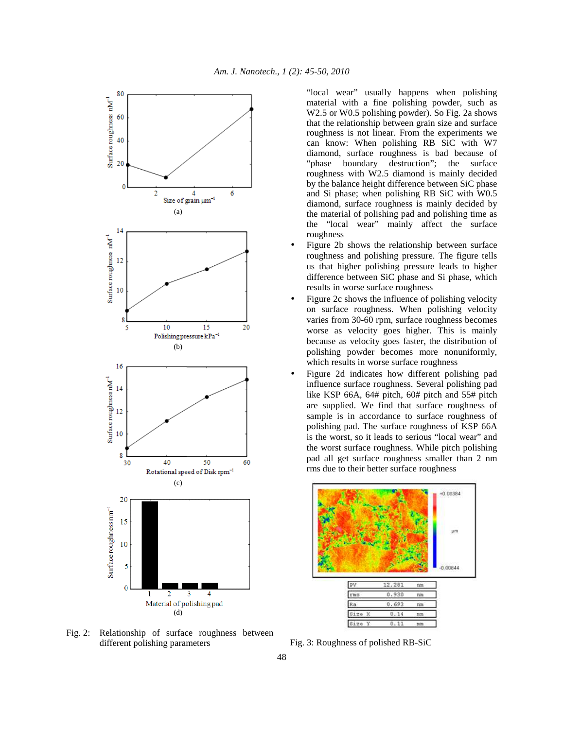

Fig. 2: Relationship of surface roughness between different polishing parameters

"local wear" usually happens when polishing material with a fine polishing powder, such as W2.5 or W0.5 polishing powder). So Fig. 2a shows that the relationship between grain size and surface roughness is not linear. From the experiments we can know: When polishing RB SiC with W7 diamond, surface roughness is bad because of "phase boundary destruction"; the surface roughness with W2.5 diamond is mainly decided by the balance height difference between SiC phase and Si phase; when polishing RB SiC with W0.5 diamond, surface roughness is mainly decided by the material of polishing pad and polishing time as the "local wear" mainly affect the surface roughness

- Figure 2b shows the relationship between surface roughness and polishing pressure. The figure tells us that higher polishing pressure leads to higher difference between SiC phase and Si phase, which results in worse surface roughness
- Figure 2c shows the influence of polishing velocity on surface roughness. When polishing velocity varies from 30-60 rpm, surface roughness becomes worse as velocity goes higher. This is mainly because as velocity goes faster, the distribution of polishing powder becomes more nonuniformly, which results in worse surface roughness
- Figure 2d indicates how different polishing pad influence surface roughness. Several polishing pad like KSP 66A, 64# pitch, 60# pitch and 55# pitch are supplied. We find that surface roughness of sample is in accordance to surface roughness of polishing pad. The surface roughness of KSP 66A is the worst, so it leads to serious "local wear" and the worst surface roughness. While pitch polishing pad all get surface roughness smaller than 2 nm rms due to their better surface roughness



Fig. 3: Roughness of polished RB-SiC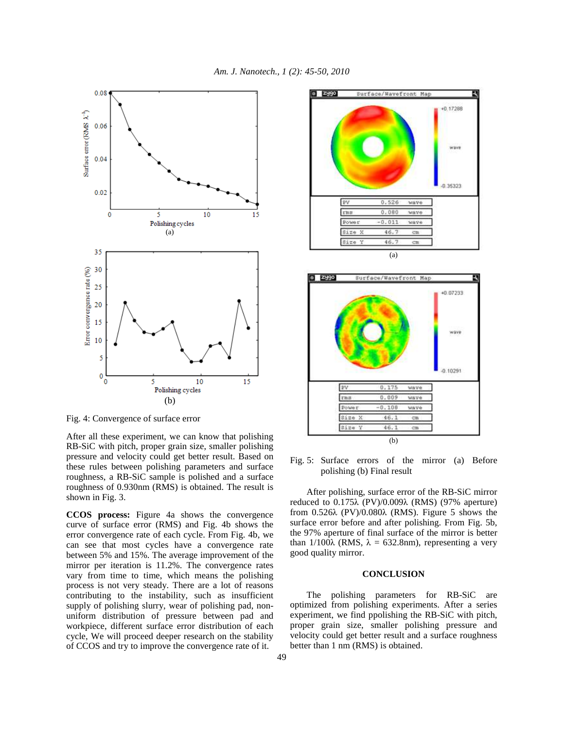

Fig. 4: Convergence of surface error

After all these experiment, we can know that polishing RB-SiC with pitch, proper grain size, smaller polishing pressure and velocity could get better result. Based on these rules between polishing parameters and surface roughness, a RB-SiC sample is polished and a surface roughness of 0.930nm (RMS) is obtained. The result is shown in Fig. 3.

**CCOS process:** Figure 4a shows the convergence curve of surface error (RMS) and Fig. 4b shows the error convergence rate of each cycle. From Fig. 4b, we can see that most cycles have a convergence rate between 5% and 15%. The average improvement of the mirror per iteration is 11.2%. The convergence rates vary from time to time, which means the polishing process is not very steady. There are a lot of reasons contributing to the instability, such as insufficient supply of polishing slurry, wear of polishing pad, nonuniform distribution of pressure between pad and workpiece, different surface error distribution of each cycle, We will proceed deeper research on the stability of CCOS and try to improve the convergence rate of it.



Fig. 5: Surface errors of the mirror (a) Before polishing (b) Final result

 After polishing, surface error of the RB-SiC mirror reduced to  $0.175\lambda$  (PV)/ $0.009\lambda$  (RMS) (97% aperture) from  $0.526\lambda$  (PV)/0.080 $\lambda$  (RMS). Figure 5 shows the surface error before and after polishing. From Fig. 5b, the 97% aperture of final surface of the mirror is better than  $1/100\lambda$  (RMS,  $\lambda = 632.8$ nm), representing a very good quality mirror.

#### **CONCLUSION**

 The polishing parameters for RB-SiC are optimized from polishing experiments. After a series experiment, we find ppolishing the RB-SiC with pitch, proper grain size, smaller polishing pressure and velocity could get better result and a surface roughness better than 1 nm (RMS) is obtained.